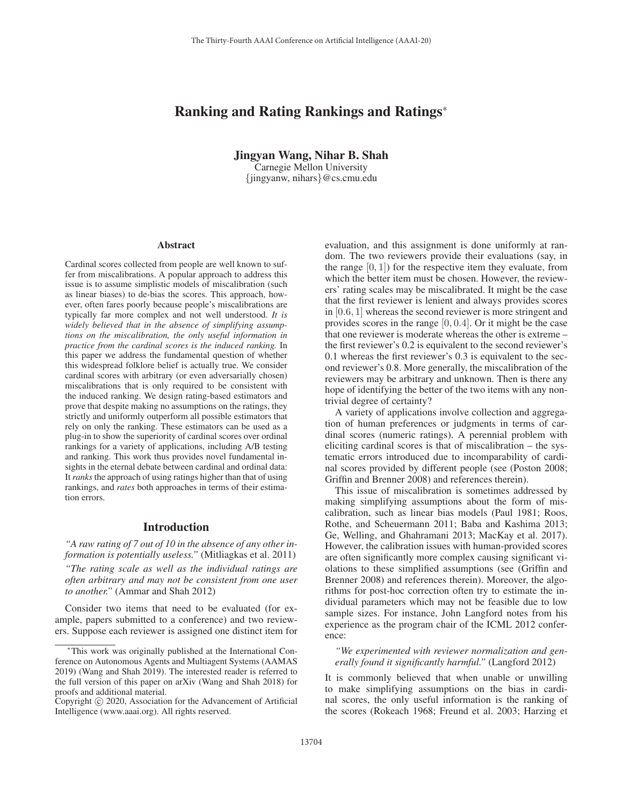# Ranking and Rating Rankings and Ratings<sup>∗</sup>

Jingyan Wang, Nihar B. Shah

Carnegie Mellon University {jingyanw, nihars}@cs.cmu.edu

#### Abstract

Cardinal scores collected from people are well known to suffer from miscalibrations. A popular approach to address this issue is to assume simplistic models of miscalibration (such as linear biases) to de-bias the scores. This approach, however, often fares poorly because people's miscalibrations are typically far more complex and not well understood. *It is widely believed that in the absence of simplifying assumptions on the miscalibration, the only useful information in practice from the cardinal scores is the induced ranking.* In this paper we address the fundamental question of whether this widespread folklore belief is actually true. We consider cardinal scores with arbitrary (or even adversarially chosen) miscalibrations that is only required to be consistent with the induced ranking. We design rating-based estimators and prove that despite making no assumptions on the ratings, they strictly and uniformly outperform all possible estimators that rely on only the ranking. These estimators can be used as a plug-in to show the superiority of cardinal scores over ordinal rankings for a variety of applications, including A/B testing and ranking. This work thus provides novel fundamental insights in the eternal debate between cardinal and ordinal data: It *ranks* the approach of using ratings higher than that of using rankings, and *rates* both approaches in terms of their estimation errors.

## Introduction

*"A raw rating of 7 out of 10 in the absence of any other information is potentially useless."* (Mitliagkas et al. 2011)

*"The rating scale as well as the individual ratings are often arbitrary and may not be consistent from one user to another."* (Ammar and Shah 2012)

Consider two items that need to be evaluated (for example, papers submitted to a conference) and two reviewers. Suppose each reviewer is assigned one distinct item for evaluation, and this assignment is done uniformly at random. The two reviewers provide their evaluations (say, in the range  $[0, 1]$ ) for the respective item they evaluate, from which the better item must be chosen. However, the reviewers' rating scales may be miscalibrated. It might be the case that the first reviewer is lenient and always provides scores in [0.6, 1] whereas the second reviewer is more stringent and provides scores in the range  $[0, 0.4]$ . Or it might be the case that one reviewer is moderate whereas the other is extreme – the first reviewer's 0.2 is equivalent to the second reviewer's 0.1 whereas the first reviewer's 0.3 is equivalent to the second reviewer's 0.8. More generally, the miscalibration of the reviewers may be arbitrary and unknown. Then is there any hope of identifying the better of the two items with any nontrivial degree of certainty?

A variety of applications involve collection and aggregation of human preferences or judgments in terms of cardinal scores (numeric ratings). A perennial problem with eliciting cardinal scores is that of miscalibration – the systematic errors introduced due to incomparability of cardinal scores provided by different people (see (Poston 2008; Griffin and Brenner 2008) and references therein).

This issue of miscalibration is sometimes addressed by making simplifying assumptions about the form of miscalibration, such as linear bias models (Paul 1981; Roos, Rothe, and Scheuermann 2011; Baba and Kashima 2013; Ge, Welling, and Ghahramani 2013; MacKay et al. 2017). However, the calibration issues with human-provided scores are often significantly more complex causing significant violations to these simplified assumptions (see (Griffin and Brenner 2008) and references therein). Moreover, the algorithms for post-hoc correction often try to estimate the individual parameters which may not be feasible due to low sample sizes. For instance, John Langford notes from his experience as the program chair of the ICML 2012 conference:

### *"We experimented with reviewer normalization and generally found it significantly harmful."* (Langford 2012)

It is commonly believed that when unable or unwilling to make simplifying assumptions on the bias in cardinal scores, the only useful information is the ranking of the scores (Rokeach 1968; Freund et al. 2003; Harzing et

<sup>∗</sup>This work was originally published at the International Conference on Autonomous Agents and Multiagent Systems (AAMAS 2019) (Wang and Shah 2019). The interested reader is referred to the full version of this paper on arXiv (Wang and Shah 2018) for proofs and additional material.

Copyright  $\odot$  2020, Association for the Advancement of Artificial Intelligence (www.aaai.org). All rights reserved.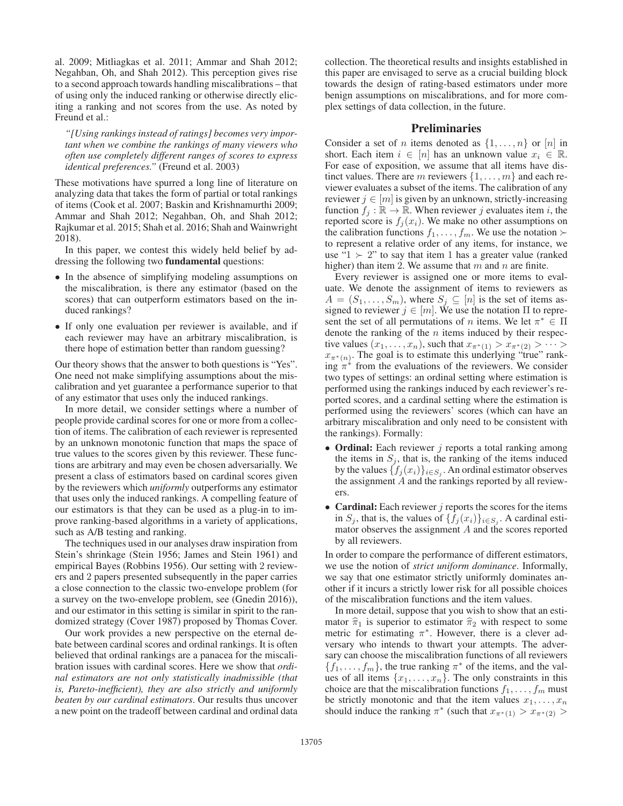al. 2009; Mitliagkas et al. 2011; Ammar and Shah 2012; Negahban, Oh, and Shah 2012). This perception gives rise to a second approach towards handling miscalibrations – that of using only the induced ranking or otherwise directly eliciting a ranking and not scores from the use. As noted by Freund et al.:

*"[Using rankings instead of ratings] becomes very important when we combine the rankings of many viewers who often use completely different ranges of scores to express identical preferences."* (Freund et al. 2003)

These motivations have spurred a long line of literature on analyzing data that takes the form of partial or total rankings of items (Cook et al. 2007; Baskin and Krishnamurthi 2009; Ammar and Shah 2012; Negahban, Oh, and Shah 2012; Rajkumar et al. 2015; Shah et al. 2016; Shah and Wainwright 2018).

In this paper, we contest this widely held belief by addressing the following two fundamental questions:

- In the absence of simplifying modeling assumptions on the miscalibration, is there any estimator (based on the scores) that can outperform estimators based on the induced rankings?
- If only one evaluation per reviewer is available, and if each reviewer may have an arbitrary miscalibration, is there hope of estimation better than random guessing?

Our theory shows that the answer to both questions is "Yes". One need not make simplifying assumptions about the miscalibration and yet guarantee a performance superior to that of any estimator that uses only the induced rankings.

In more detail, we consider settings where a number of people provide cardinal scores for one or more from a collection of items. The calibration of each reviewer is represented by an unknown monotonic function that maps the space of true values to the scores given by this reviewer. These functions are arbitrary and may even be chosen adversarially. We present a class of estimators based on cardinal scores given by the reviewers which *uniformly* outperforms any estimator that uses only the induced rankings. A compelling feature of our estimators is that they can be used as a plug-in to improve ranking-based algorithms in a variety of applications, such as A/B testing and ranking.

The techniques used in our analyses draw inspiration from Stein's shrinkage (Stein 1956; James and Stein 1961) and empirical Bayes (Robbins 1956). Our setting with 2 reviewers and 2 papers presented subsequently in the paper carries a close connection to the classic two-envelope problem (for a survey on the two-envelope problem, see (Gnedin 2016)), and our estimator in this setting is similar in spirit to the randomized strategy (Cover 1987) proposed by Thomas Cover.

Our work provides a new perspective on the eternal debate between cardinal scores and ordinal rankings. It is often believed that ordinal rankings are a panacea for the miscalibration issues with cardinal scores. Here we show that *ordinal estimators are not only statistically inadmissible (that is, Pareto-inefficient), they are also strictly and uniformly beaten by our cardinal estimators*. Our results thus uncover a new point on the tradeoff between cardinal and ordinal data

collection. The theoretical results and insights established in this paper are envisaged to serve as a crucial building block towards the design of rating-based estimators under more benign assumptions on miscalibrations, and for more complex settings of data collection, in the future.

# Preliminaries

Consider a set of *n* items denoted as  $\{1,\ldots,n\}$  or  $[n]$  in short. Each item  $i \in [n]$  has an unknown value  $x_i \in \mathbb{R}$ . For ease of exposition, we assume that all items have distinct values. There are m reviewers  $\{1,\ldots,m\}$  and each reviewer evaluates a subset of the items. The calibration of any reviewer  $j \in [m]$  is given by an unknown, strictly-increasing function  $f_i : \mathbb{R} \to \mathbb{R}$ . When reviewer j evaluates item i, the reported score is  $f_j(x_i)$ . We make no other assumptions on the calibration functions  $f_1, \ldots, f_m$ . We use the notation  $\succ$ to represent a relative order of any items, for instance, we use " $1 \succ 2$ " to say that item 1 has a greater value (ranked higher) than item 2. We assume that m and n are finite.

Every reviewer is assigned one or more items to evaluate. We denote the assignment of items to reviewers as  $A = (S_1, \ldots, S_m)$ , where  $S_j \subseteq [n]$  is the set of items assigned to reviewer  $j \in [m]$ . We use the notation  $\Pi$  to represent the set of all permutations of *n* items. We let  $\pi^* \in \Pi$ denote the ranking of the n items induced by their respective values  $(x_1,...,x_n)$ , such that  $x_{\pi^*(1)} > x_{\pi^*(2)} > \cdots >$  $x_{\pi^*(n)}$ . The goal is to estimate this underlying "true" ranking  $\pi^*$  from the evaluations of the reviewers. We consider two types of settings: an ordinal setting where estimation is performed using the rankings induced by each reviewer's reported scores, and a cardinal setting where the estimation is performed using the reviewers' scores (which can have an arbitrary miscalibration and only need to be consistent with the rankings). Formally:

- Ordinal: Each reviewer  $j$  reports a total ranking among the items in  $S_i$ , that is, the ranking of the items induced by the values  $\{f_j(x_i)\}_{i\in S_j}$ . An ordinal estimator observes the assignment A and the rankings reported by all reviewers.
- Cardinal: Each reviewer  $j$  reports the scores for the items in  $S_j$ , that is, the values of  $\{f_j(x_i)\}_{i\in S_j}$ . A cardinal estimator observes the assignment A and the scores reported by all reviewers.

In order to compare the performance of different estimators, we use the notion of *strict uniform dominance*. Informally, we say that one estimator strictly uniformly dominates another if it incurs a strictly lower risk for all possible choices of the miscalibration functions and the item values.

In more detail, suppose that you wish to show that an estimator  $\hat{\pi}_1$  is superior to estimator  $\hat{\pi}_2$  with respect to some matric for estimating  $\pi^*$ . However, there is a closer of metric for estimating  $\pi^*$ . However, there is a clever adversary who intends to thwart your attempts. The adversary can choose the miscalibration functions of all reviewers  ${f_1,\ldots,f_m}$ , the true ranking  $\pi^*$  of the items, and the values of all items  $\{x_1, \ldots, x_n\}$ . The only constraints in this choice are that the miscalibration functions  $f_1, \ldots, f_m$  must be strictly monotonic and that the item values  $x_1, \ldots, x_n$ should induce the ranking  $\pi^*$  (such that  $x_{\pi^*(1)} > x_{\pi^*(2)} >$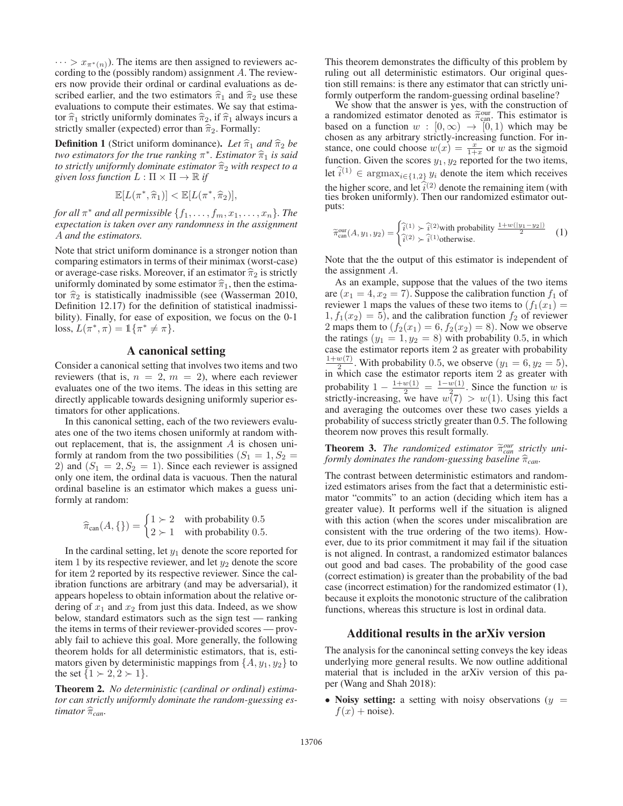$\cdots > x_{\pi^{*}(n)}$ ). The items are then assigned to reviewers according to the (possibly random) assignment A. The reviewers now provide their ordinal or cardinal evaluations as described earlier, and the two estimators  $\hat{\pi}_1$  and  $\hat{\pi}_2$  use these<br>evolutions to compute their estimates. We say that estimaevaluations to compute their estimates. We say that estimator  $\hat{\pi}_1$  strictly uniformly dominates  $\hat{\pi}_2$ , if  $\hat{\pi}_1$  always incurs a strictly emailler (expected) error than  $\hat{\pi}$ . Formally, strictly smaller (expected) error than  $\hat{\pi}_2$ . Formally:

**Definition 1** (Strict uniform dominance). Let  $\hat{\pi}_1$  and  $\hat{\pi}_2$  be *two estimators for the true ranking* π<sup>∗</sup>. *Estimator*  $\hat{\pi}_1$  *is said*<br>to strictly uniformly dominate attington  $\hat{\pi}$  with respect to a *to strictly uniformly dominate estimator*  $\hat{\pi}_2$  *with respect to a civen loss function*  $I : \Pi \times \Pi \to \mathbb{R}$  *if given loss function*  $L : \Pi \times \Pi \rightarrow \mathbb{R}$  *if* 

$$
\mathbb{E}[L(\pi^*, \hat{\pi}_1)] < \mathbb{E}[L(\pi^*, \hat{\pi}_2)],
$$

*for all*  $\pi^*$  *and all permissible*  $\{f_1, \ldots, f_m, x_1, \ldots, x_n\}$ *. The expectation is taken over any randomness in the assignment* A *and the estimators.*

Note that strict uniform dominance is a stronger notion than comparing estimators in terms of their minimax (worst-case) or average-case risks. Moreover, if an estimator  $\hat{\pi}_2$  is strictly<br>uniformly dominated by some estimator  $\hat{\pi}_1$ , then the estimator uniformly dominated by some estimator  $\hat{\pi}_1$ , then the estima-<br>ten  $\hat{\pi}_2$  is etatistically inedmissible (see (Wesserman 2010) tor  $\hat{\pi}_2$  is statistically inadmissible (see (Wasserman 2010, Definition 12.17) for the definition of statistical inadmissibility). Finally, for ease of exposition, we focus on the 0-1 loss,  $L(\pi^*, \pi) = \mathbb{1}\{\pi^* \neq \pi\}.$ 

# A canonical setting

Consider a canonical setting that involves two items and two reviewers (that is,  $n = 2$ ,  $m = 2$ ), where each reviewer evaluates one of the two items. The ideas in this setting are directly applicable towards designing uniformly superior estimators for other applications.

In this canonical setting, each of the two reviewers evaluates one of the two items chosen uniformly at random without replacement, that is, the assignment  $A$  is chosen uniformly at random from the two possibilities  $(S_1 = 1, S_2 =$ 2) and  $(S_1 = 2, S_2 = 1)$ . Since each reviewer is assigned only one item, the ordinal data is vacuous. Then the natural ordinal baseline is an estimator which makes a guess uniformly at random:

$$
\widehat{\pi}_{\text{can}}(A, \{\}) = \begin{cases} 1 \succ 2 & \text{with probability } 0.5 \\ 2 \succ 1 & \text{with probability } 0.5. \end{cases}
$$

In the cardinal setting, let  $y_1$  denote the score reported for item 1 by its respective reviewer, and let  $y_2$  denote the score for item 2 reported by its respective reviewer. Since the calibration functions are arbitrary (and may be adversarial), it appears hopeless to obtain information about the relative ordering of  $x_1$  and  $x_2$  from just this data. Indeed, as we show below, standard estimators such as the sign test — ranking the items in terms of their reviewer-provided scores — provably fail to achieve this goal. More generally, the following theorem holds for all deterministic estimators, that is, estimators given by deterministic mappings from  $\{A, y_1, y_2\}$  to the set  $\{1 \succ 2, 2 \succ 1\}$ .

Theorem 2. *No deterministic (cardinal or ordinal) estimator can strictly uniformly dominate the random-guessing es*timator  $\widehat{\pi}_{can}$ .

This theorem demonstrates the difficulty of this problem by ruling out all deterministic estimators. Our original question still remains: is there any estimator that can strictly uniformly outperform the random-guessing ordinal baseline?

We show that the answer is yes, with the construction of a randomized estimator denoted as  $\tilde{\pi}_{\text{can}}^{\text{our}}$ . This estimator is based on a function  $w : [0, \infty) \to [0, 1)$  which may be chosen as any arbitrary strictly-increasing function. For inchosen as any arbitrary strictly-increasing function. For instance, one could choose  $w(x) = \frac{x}{1+x}$  or w as the sigmoid<br>function. Given the scores  $u_1, u_2$  reported for the two items function. Given the scores  $y_1, y_2$  reported for the two items, let  $\hat{i}^{(1)} \in \text{argmax}_{i \in \{1,2\}} y_i$  denote the item which receives the higher score, and let  $\hat{i}^{(2)}$  denote the remaining item (with the herber out the remaining destinator out ties broken uniformly). Then our randomized estimator outputs:

$$
\widetilde{\pi}_{\text{can}}^{\text{our}}(A, y_1, y_2) = \begin{cases} \widehat{i}^{(1)} \succ \widehat{i}^{(2)} \text{with probability } \frac{1 + w(|y_1 - y_2|)}{2} \\ \widehat{i}^{(2)} \succ \widehat{i}^{(1)} \text{otherwise.} \end{cases} (1)
$$

Note that the the output of this estimator is independent of the assignment A.

As an example, suppose that the values of the two items are  $(x_1 = 4, x_2 = 7)$ . Suppose the calibration function  $f_1$  of reviewer 1 maps the values of these two items to  $(f_1(x_1))$  $1, f_1(x_2) = 5$ , and the calibration function  $f_2$  of reviewer 2 maps them to  $(f_2(x_1) = 6, f_2(x_2) = 8)$ . Now we observe the ratings  $(y_1 = 1, y_2 = 8)$  with probability 0.5, in which case the estimator reports item 2 as greater with probability  $\frac{1+w(7)}{2}$ . With probability 0.5, we observe  $(y_1 = 6, y_2 = 5)$ ,<br>in which case the estimator reports item 2 as greater with in which case the estimator reports item 2 as greater with probability  $1 - \frac{1+w(1)}{2} = \frac{1-w(1)}{2}$ . Since the function w is strictly-increasing we have  $w(7) > w(1)$ . Using this fact strictly-increasing, we have  $w(7) > w(1)$ . Using this fact and averaging the outcomes over these two cases yields a and averaging the outcomes over these two cases yields a probability of success strictly greater than 0.5. The following theorem now proves this result formally.

**Theorem 3.** The randomized estimator  $\tilde{\pi}_{can}^{our}$  strictly uniformly dominates the random quessing baseline  $\hat{\pi}_{can}$  $f$ *ormly dominates the random-guessing baseline*  $\widehat{\pi}_{can}$ .

The contrast between deterministic estimators and randomized estimators arises from the fact that a deterministic estimator "commits" to an action (deciding which item has a greater value). It performs well if the situation is aligned with this action (when the scores under miscalibration are consistent with the true ordering of the two items). However, due to its prior commitment it may fail if the situation is not aligned. In contrast, a randomized estimator balances out good and bad cases. The probability of the good case (correct estimation) is greater than the probability of the bad case (incorrect estimation) for the randomized estimator (1), because it exploits the monotonic structure of the calibration functions, whereas this structure is lost in ordinal data.

### Additional results in the arXiv version

The analysis for the canonincal setting conveys the key ideas underlying more general results. We now outline additional material that is included in the arXiv version of this paper (Wang and Shah 2018):

• Noisy setting: a setting with noisy observations  $(y =$  $f(x)$  + noise).